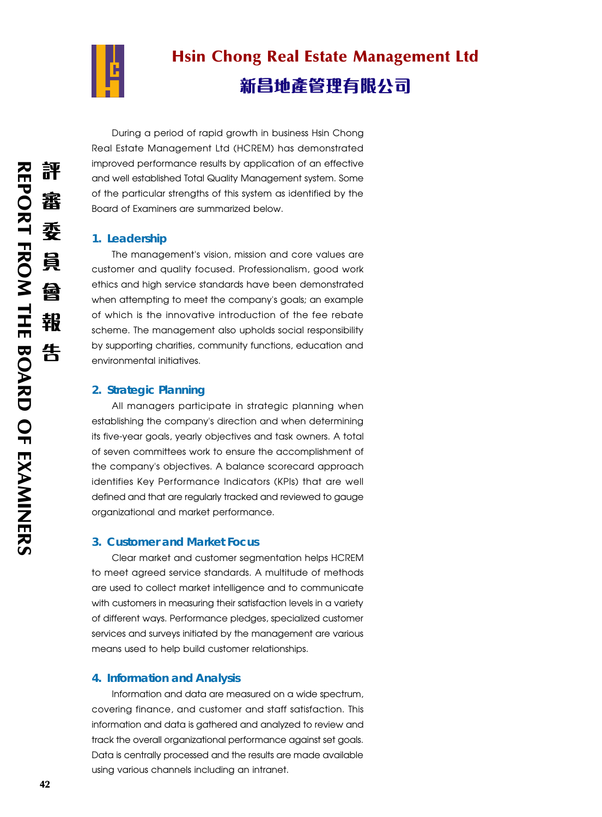

# Hsin Chong Real Estate Management Ltd 新昌地產管理有限公司

During a period of rapid growth in business Hsin Chong Real Estate Management Ltd (HCREM) has demonstrated improved performance results by application of an effective and well established Total Quality Management system. Some of the particular strengths of this system as identified by the Board of Examiners are summarized below.

### **1. Leadership**

The management's vision, mission and core values are customer and quality focused. Professionalism, good work ethics and high service standards have been demonstrated when attempting to meet the company's goals; an example of which is the innovative introduction of the fee rebate scheme. The management also upholds social responsibility by supporting charities, community functions, education and environmental initiatives.

## **2. Strategic Planning**

All managers participate in strategic planning when establishing the company's direction and when determining its five-year goals, yearly objectives and task owners. A total of seven committees work to ensure the accomplishment of the company's objectives. A balance scorecard approach identifies Key Performance Indicators (KPIs) that are well defined and that are regularly tracked and reviewed to gauge organizational and market performance.

### **3. Customer and Market Focus**

Clear market and customer segmentation helps HCREM to meet agreed service standards. A multitude of methods are used to collect market intelligence and to communicate with customers in measuring their satisfaction levels in a variety of different ways. Performance pledges, specialized customer services and surveys initiated by the management are various means used to help build customer relationships.

### **4. Information and Analysis**

Information and data are measured on a wide spectrum, covering finance, and customer and staff satisfaction. This information and data is gathered and analyzed to review and track the overall organizational performance against set goals. Data is centrally processed and the results are made available using various channels including an intranet.